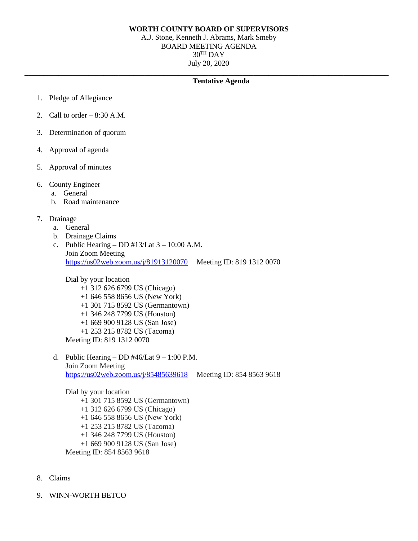## **WORTH COUNTY BOARD OF SUPERVISORS**

A.J. Stone, Kenneth J. Abrams, Mark Smeby BOARD MEETING AGENDA  $30<sup>TH</sup>$  DAY July 20, 2020

**\_\_\_\_\_\_\_\_\_\_\_\_\_\_\_\_\_\_\_\_\_\_\_\_\_\_\_\_\_\_\_\_\_\_\_\_\_\_\_\_\_\_\_\_\_\_\_\_\_\_\_\_\_\_\_\_\_\_\_\_\_\_\_\_\_\_\_\_\_\_\_\_\_\_\_\_\_\_\_\_\_\_\_\_\_\_\_\_\_\_\_\_\_\_\_\_\_**

## **Tentative Agenda**

- 1. Pledge of Allegiance
- 2. Call to order  $-8:30$  A.M.
- 3. Determination of quorum
- 4. Approval of agenda
- 5. Approval of minutes
- 6. County Engineer
	- a. General
	- b. Road maintenance
- 7. Drainage
	- a. General
	- b. Drainage Claims
	- c. Public Hearing DD  $\#13$ /Lat  $3 10:00$  A.M. Join Zoom Meeting <https://us02web.zoom.us/j/81913120070> Meeting ID: 819 1312 0070

Dial by your location

- +1 312 626 6799 US (Chicago)
- +1 646 558 8656 US (New York)
- +1 301 715 8592 US (Germantown)
- +1 346 248 7799 US (Houston)
- +1 669 900 9128 US (San Jose)
- +1 253 215 8782 US (Tacoma)

Meeting ID: 819 1312 0070

d. Public Hearing – DD  $\#46$ /Lat  $9 - 1:00$  P.M. Join Zoom Meeting [https://us02web.zoom.us/j/85485639618](https://www.google.com/url?q=https%3A%2F%2Fus02web.zoom.us%2Fj%2F85485639618&sa=D&ust=1592837478849000&usg=AOvVaw2XWa1GqieoQyi-B8L8APSW) Meeting ID: 854 8563 9618

Dial by your location +1 301 715 8592 US (Germantown) +1 312 626 6799 US (Chicago) +1 646 558 8656 US (New York) +1 253 215 8782 US (Tacoma) +1 346 248 7799 US (Houston) +1 669 900 9128 US (San Jose) Meeting ID: 854 8563 9618

- 8. Claims
- 9. WINN-WORTH BETCO